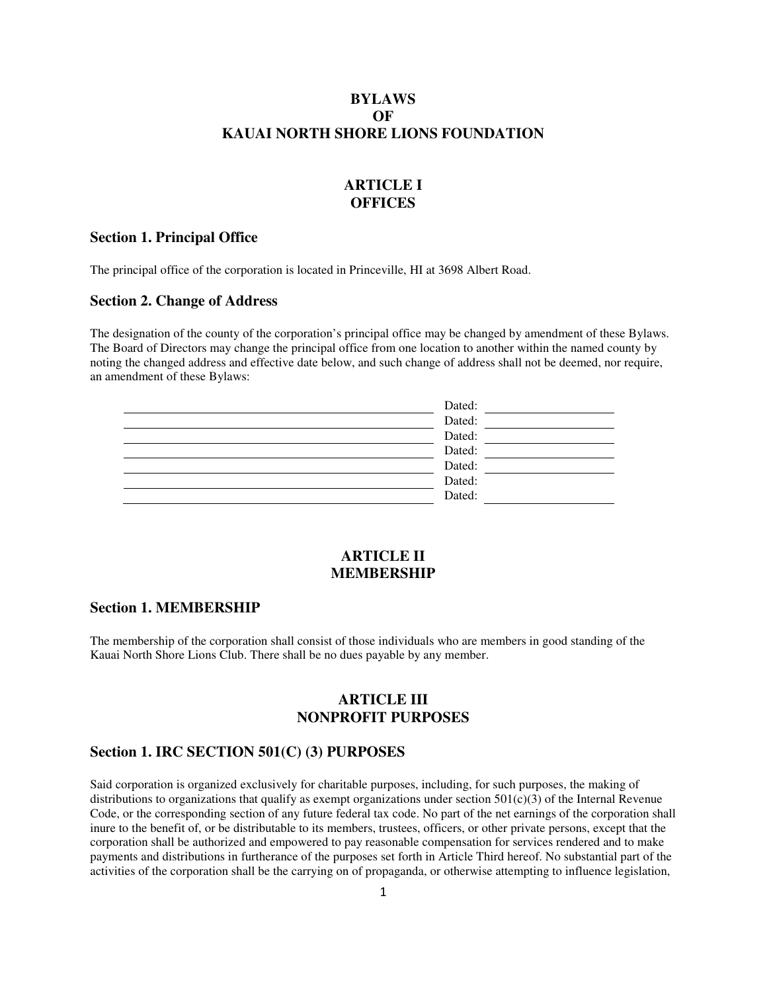# **BYLAWS OF KAUAI NORTH SHORE LIONS FOUNDATION**

# **ARTICLE I OFFICES**

### **Section 1. Principal Office**

The principal office of the corporation is located in Princeville, HI at 3698 Albert Road.

### **Section 2. Change of Address**

The designation of the county of the corporation's principal office may be changed by amendment of these Bylaws. The Board of Directors may change the principal office from one location to another within the named county by noting the changed address and effective date below, and such change of address shall not be deemed, nor require, an amendment of these Bylaws:

| Dated: |
|--------|
| Dated: |
| Dated: |
| Dated: |
| Dated: |
| Dated: |
| Dated: |

## **ARTICLE II MEMBERSHIP**

### **Section 1. MEMBERSHIP**

The membership of the corporation shall consist of those individuals who are members in good standing of the Kauai North Shore Lions Club. There shall be no dues payable by any member.

# **ARTICLE III NONPROFIT PURPOSES**

#### **Section 1. IRC SECTION 501(C) (3) PURPOSES**

Said corporation is organized exclusively for charitable purposes, including, for such purposes, the making of distributions to organizations that qualify as exempt organizations under section  $501(c)(3)$  of the Internal Revenue Code, or the corresponding section of any future federal tax code. No part of the net earnings of the corporation shall inure to the benefit of, or be distributable to its members, trustees, officers, or other private persons, except that the corporation shall be authorized and empowered to pay reasonable compensation for services rendered and to make payments and distributions in furtherance of the purposes set forth in Article Third hereof. No substantial part of the activities of the corporation shall be the carrying on of propaganda, or otherwise attempting to influence legislation,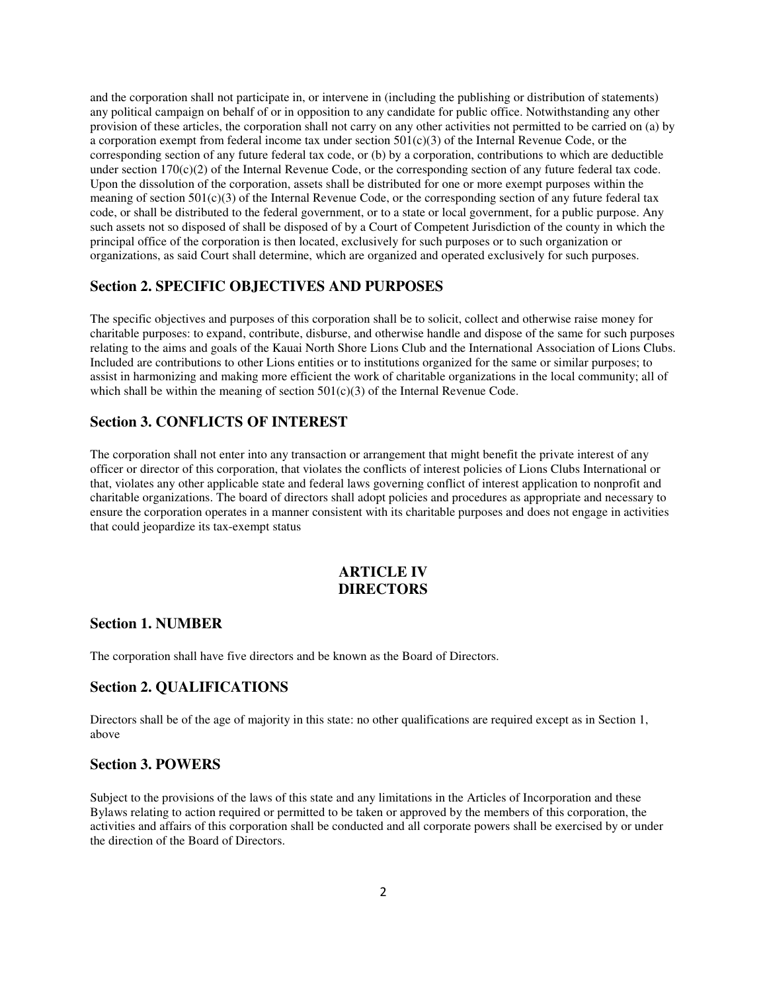and the corporation shall not participate in, or intervene in (including the publishing or distribution of statements) any political campaign on behalf of or in opposition to any candidate for public office. Notwithstanding any other provision of these articles, the corporation shall not carry on any other activities not permitted to be carried on (a) by a corporation exempt from federal income tax under section  $501(c)(3)$  of the Internal Revenue Code, or the corresponding section of any future federal tax code, or (b) by a corporation, contributions to which are deductible under section  $170(c)(2)$  of the Internal Revenue Code, or the corresponding section of any future federal tax code. Upon the dissolution of the corporation, assets shall be distributed for one or more exempt purposes within the meaning of section  $501(c)(3)$  of the Internal Revenue Code, or the corresponding section of any future federal tax code, or shall be distributed to the federal government, or to a state or local government, for a public purpose. Any such assets not so disposed of shall be disposed of by a Court of Competent Jurisdiction of the county in which the principal office of the corporation is then located, exclusively for such purposes or to such organization or organizations, as said Court shall determine, which are organized and operated exclusively for such purposes.

### **Section 2. SPECIFIC OBJECTIVES AND PURPOSES**

The specific objectives and purposes of this corporation shall be to solicit, collect and otherwise raise money for charitable purposes: to expand, contribute, disburse, and otherwise handle and dispose of the same for such purposes relating to the aims and goals of the Kauai North Shore Lions Club and the International Association of Lions Clubs. Included are contributions to other Lions entities or to institutions organized for the same or similar purposes; to assist in harmonizing and making more efficient the work of charitable organizations in the local community; all of which shall be within the meaning of section  $501(c)(3)$  of the Internal Revenue Code.

#### **Section 3. CONFLICTS OF INTEREST**

The corporation shall not enter into any transaction or arrangement that might benefit the private interest of any officer or director of this corporation, that violates the conflicts of interest policies of Lions Clubs International or that, violates any other applicable state and federal laws governing conflict of interest application to nonprofit and charitable organizations. The board of directors shall adopt policies and procedures as appropriate and necessary to ensure the corporation operates in a manner consistent with its charitable purposes and does not engage in activities that could jeopardize its tax-exempt status

## **ARTICLE IV DIRECTORS**

#### **Section 1. NUMBER**

The corporation shall have five directors and be known as the Board of Directors.

#### **Section 2. QUALIFICATIONS**

Directors shall be of the age of majority in this state: no other qualifications are required except as in Section 1, above

#### **Section 3. POWERS**

Subject to the provisions of the laws of this state and any limitations in the Articles of Incorporation and these Bylaws relating to action required or permitted to be taken or approved by the members of this corporation, the activities and affairs of this corporation shall be conducted and all corporate powers shall be exercised by or under the direction of the Board of Directors.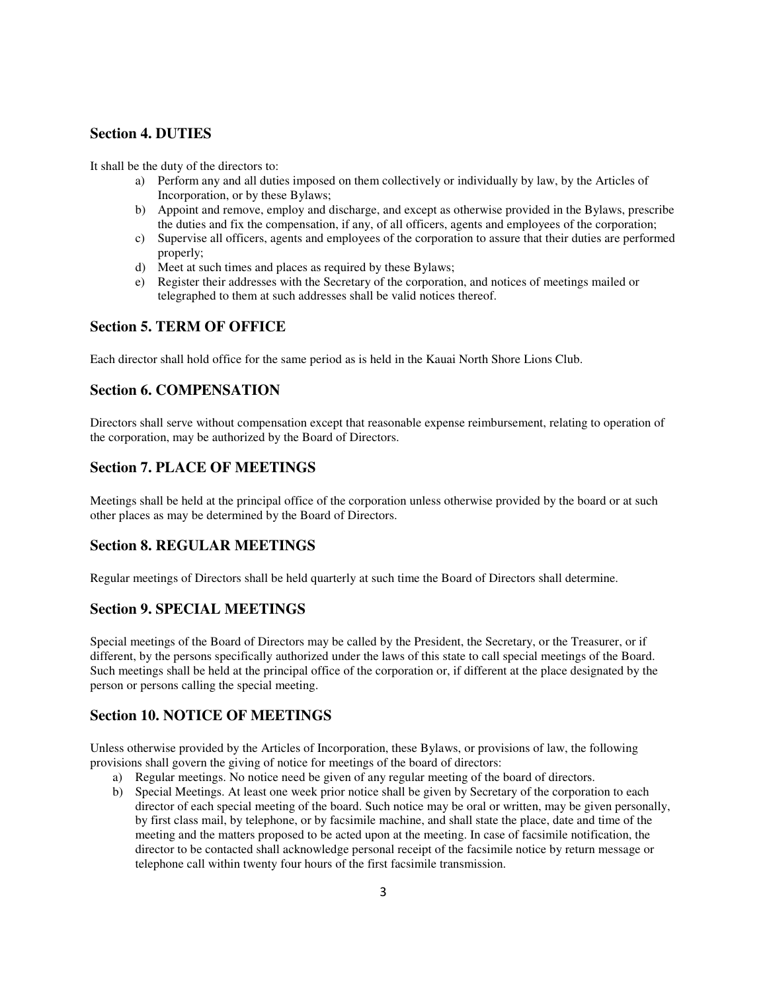### **Section 4. DUTIES**

It shall be the duty of the directors to:

- a) Perform any and all duties imposed on them collectively or individually by law, by the Articles of Incorporation, or by these Bylaws;
- b) Appoint and remove, employ and discharge, and except as otherwise provided in the Bylaws, prescribe the duties and fix the compensation, if any, of all officers, agents and employees of the corporation;
- c) Supervise all officers, agents and employees of the corporation to assure that their duties are performed properly;
- d) Meet at such times and places as required by these Bylaws;
- e) Register their addresses with the Secretary of the corporation, and notices of meetings mailed or telegraphed to them at such addresses shall be valid notices thereof.

# **Section 5. TERM OF OFFICE**

Each director shall hold office for the same period as is held in the Kauai North Shore Lions Club.

### **Section 6. COMPENSATION**

Directors shall serve without compensation except that reasonable expense reimbursement, relating to operation of the corporation, may be authorized by the Board of Directors.

### **Section 7. PLACE OF MEETINGS**

Meetings shall be held at the principal office of the corporation unless otherwise provided by the board or at such other places as may be determined by the Board of Directors.

### **Section 8. REGULAR MEETINGS**

Regular meetings of Directors shall be held quarterly at such time the Board of Directors shall determine.

### **Section 9. SPECIAL MEETINGS**

Special meetings of the Board of Directors may be called by the President, the Secretary, or the Treasurer, or if different, by the persons specifically authorized under the laws of this state to call special meetings of the Board. Such meetings shall be held at the principal office of the corporation or, if different at the place designated by the person or persons calling the special meeting.

# **Section 10. NOTICE OF MEETINGS**

Unless otherwise provided by the Articles of Incorporation, these Bylaws, or provisions of law, the following provisions shall govern the giving of notice for meetings of the board of directors:

- a) Regular meetings. No notice need be given of any regular meeting of the board of directors.
- b) Special Meetings. At least one week prior notice shall be given by Secretary of the corporation to each director of each special meeting of the board. Such notice may be oral or written, may be given personally, by first class mail, by telephone, or by facsimile machine, and shall state the place, date and time of the meeting and the matters proposed to be acted upon at the meeting. In case of facsimile notification, the director to be contacted shall acknowledge personal receipt of the facsimile notice by return message or telephone call within twenty four hours of the first facsimile transmission.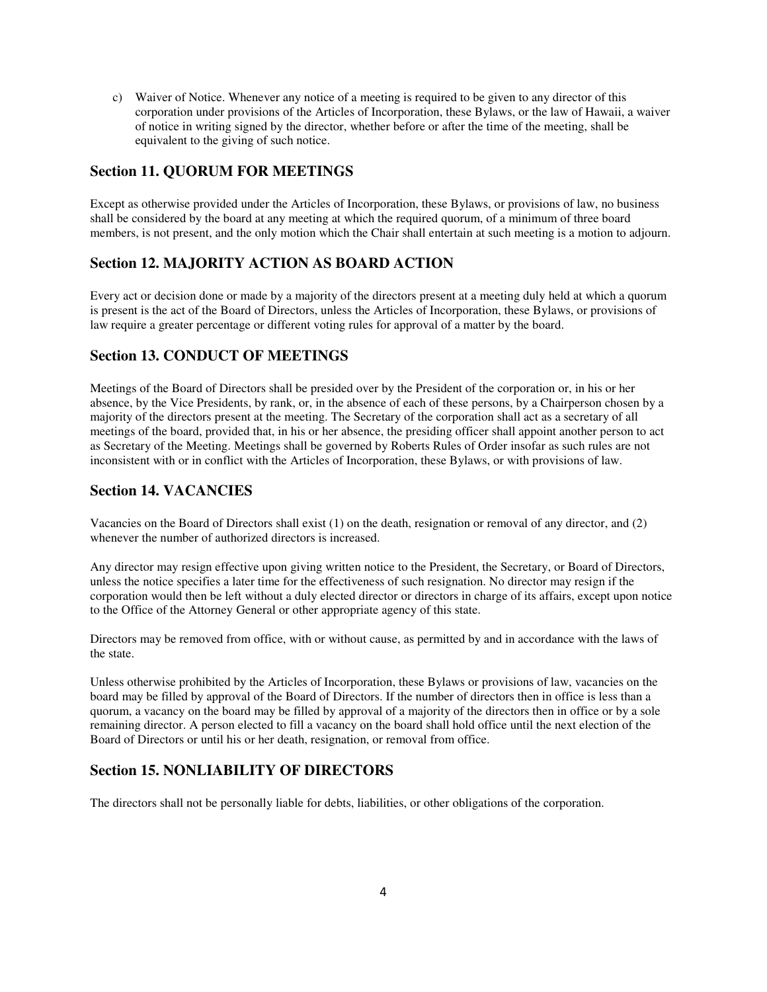c) Waiver of Notice. Whenever any notice of a meeting is required to be given to any director of this corporation under provisions of the Articles of Incorporation, these Bylaws, or the law of Hawaii, a waiver of notice in writing signed by the director, whether before or after the time of the meeting, shall be equivalent to the giving of such notice.

## **Section 11. QUORUM FOR MEETINGS**

Except as otherwise provided under the Articles of Incorporation, these Bylaws, or provisions of law, no business shall be considered by the board at any meeting at which the required quorum, of a minimum of three board members, is not present, and the only motion which the Chair shall entertain at such meeting is a motion to adjourn.

# **Section 12. MAJORITY ACTION AS BOARD ACTION**

Every act or decision done or made by a majority of the directors present at a meeting duly held at which a quorum is present is the act of the Board of Directors, unless the Articles of Incorporation, these Bylaws, or provisions of law require a greater percentage or different voting rules for approval of a matter by the board.

# **Section 13. CONDUCT OF MEETINGS**

Meetings of the Board of Directors shall be presided over by the President of the corporation or, in his or her absence, by the Vice Presidents, by rank, or, in the absence of each of these persons, by a Chairperson chosen by a majority of the directors present at the meeting. The Secretary of the corporation shall act as a secretary of all meetings of the board, provided that, in his or her absence, the presiding officer shall appoint another person to act as Secretary of the Meeting. Meetings shall be governed by Roberts Rules of Order insofar as such rules are not inconsistent with or in conflict with the Articles of Incorporation, these Bylaws, or with provisions of law.

# **Section 14. VACANCIES**

Vacancies on the Board of Directors shall exist (1) on the death, resignation or removal of any director, and (2) whenever the number of authorized directors is increased.

Any director may resign effective upon giving written notice to the President, the Secretary, or Board of Directors, unless the notice specifies a later time for the effectiveness of such resignation. No director may resign if the corporation would then be left without a duly elected director or directors in charge of its affairs, except upon notice to the Office of the Attorney General or other appropriate agency of this state.

Directors may be removed from office, with or without cause, as permitted by and in accordance with the laws of the state.

Unless otherwise prohibited by the Articles of Incorporation, these Bylaws or provisions of law, vacancies on the board may be filled by approval of the Board of Directors. If the number of directors then in office is less than a quorum, a vacancy on the board may be filled by approval of a majority of the directors then in office or by a sole remaining director. A person elected to fill a vacancy on the board shall hold office until the next election of the Board of Directors or until his or her death, resignation, or removal from office.

### **Section 15. NONLIABILITY OF DIRECTORS**

The directors shall not be personally liable for debts, liabilities, or other obligations of the corporation.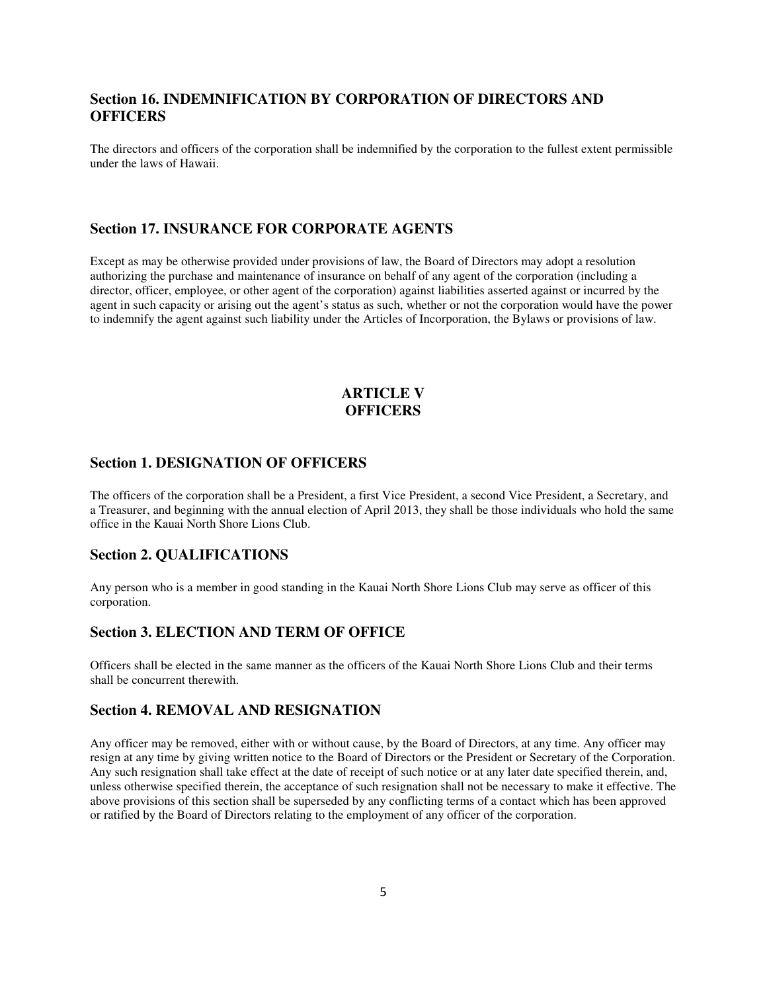# **Section 16. INDEMNIFICATION BY CORPORATION OF DIRECTORS AND OFFICERS**

The directors and officers of the corporation shall be indemnified by the corporation to the fullest extent permissible under the laws of Hawaii.

### **Section 17. INSURANCE FOR CORPORATE AGENTS**

Except as may be otherwise provided under provisions of law, the Board of Directors may adopt a resolution authorizing the purchase and maintenance of insurance on behalf of any agent of the corporation (including a director, officer, employee, or other agent of the corporation) against liabilities asserted against or incurred by the agent in such capacity or arising out the agent's status as such, whether or not the corporation would have the power to indemnify the agent against such liability under the Articles of Incorporation, the Bylaws or provisions of law.

# **ARTICLE V OFFICERS**

## **Section 1. DESIGNATION OF OFFICERS**

The officers of the corporation shall be a President, a first Vice President, a second Vice President, a Secretary, and a Treasurer, and beginning with the annual election of April 2013, they shall be those individuals who hold the same office in the Kauai North Shore Lions Club.

#### **Section 2. QUALIFICATIONS**

Any person who is a member in good standing in the Kauai North Shore Lions Club may serve as officer of this corporation.

### **Section 3. ELECTION AND TERM OF OFFICE**

Officers shall be elected in the same manner as the officers of the Kauai North Shore Lions Club and their terms shall be concurrent therewith.

# **Section 4. REMOVAL AND RESIGNATION**

Any officer may be removed, either with or without cause, by the Board of Directors, at any time. Any officer may resign at any time by giving written notice to the Board of Directors or the President or Secretary of the Corporation. Any such resignation shall take effect at the date of receipt of such notice or at any later date specified therein, and, unless otherwise specified therein, the acceptance of such resignation shall not be necessary to make it effective. The above provisions of this section shall be superseded by any conflicting terms of a contact which has been approved or ratified by the Board of Directors relating to the employment of any officer of the corporation.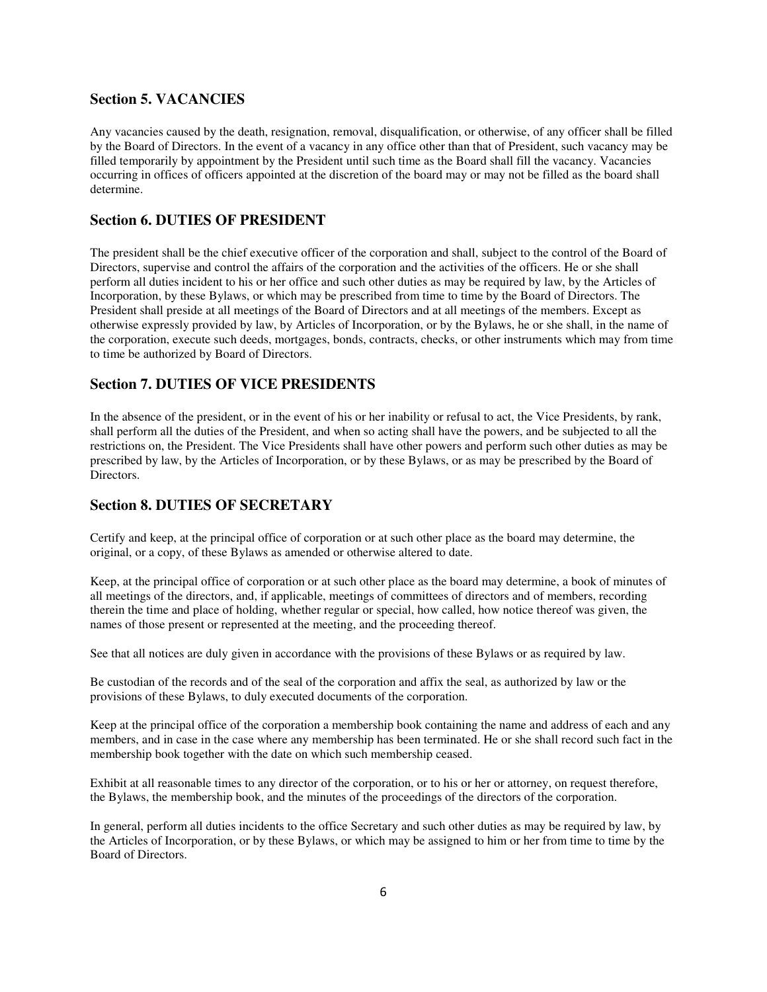### **Section 5. VACANCIES**

Any vacancies caused by the death, resignation, removal, disqualification, or otherwise, of any officer shall be filled by the Board of Directors. In the event of a vacancy in any office other than that of President, such vacancy may be filled temporarily by appointment by the President until such time as the Board shall fill the vacancy. Vacancies occurring in offices of officers appointed at the discretion of the board may or may not be filled as the board shall determine.

# **Section 6. DUTIES OF PRESIDENT**

The president shall be the chief executive officer of the corporation and shall, subject to the control of the Board of Directors, supervise and control the affairs of the corporation and the activities of the officers. He or she shall perform all duties incident to his or her office and such other duties as may be required by law, by the Articles of Incorporation, by these Bylaws, or which may be prescribed from time to time by the Board of Directors. The President shall preside at all meetings of the Board of Directors and at all meetings of the members. Except as otherwise expressly provided by law, by Articles of Incorporation, or by the Bylaws, he or she shall, in the name of the corporation, execute such deeds, mortgages, bonds, contracts, checks, or other instruments which may from time to time be authorized by Board of Directors.

#### **Section 7. DUTIES OF VICE PRESIDENTS**

In the absence of the president, or in the event of his or her inability or refusal to act, the Vice Presidents, by rank, shall perform all the duties of the President, and when so acting shall have the powers, and be subjected to all the restrictions on, the President. The Vice Presidents shall have other powers and perform such other duties as may be prescribed by law, by the Articles of Incorporation, or by these Bylaws, or as may be prescribed by the Board of Directors.

### **Section 8. DUTIES OF SECRETARY**

Certify and keep, at the principal office of corporation or at such other place as the board may determine, the original, or a copy, of these Bylaws as amended or otherwise altered to date.

Keep, at the principal office of corporation or at such other place as the board may determine, a book of minutes of all meetings of the directors, and, if applicable, meetings of committees of directors and of members, recording therein the time and place of holding, whether regular or special, how called, how notice thereof was given, the names of those present or represented at the meeting, and the proceeding thereof.

See that all notices are duly given in accordance with the provisions of these Bylaws or as required by law.

Be custodian of the records and of the seal of the corporation and affix the seal, as authorized by law or the provisions of these Bylaws, to duly executed documents of the corporation.

Keep at the principal office of the corporation a membership book containing the name and address of each and any members, and in case in the case where any membership has been terminated. He or she shall record such fact in the membership book together with the date on which such membership ceased.

Exhibit at all reasonable times to any director of the corporation, or to his or her or attorney, on request therefore, the Bylaws, the membership book, and the minutes of the proceedings of the directors of the corporation.

In general, perform all duties incidents to the office Secretary and such other duties as may be required by law, by the Articles of Incorporation, or by these Bylaws, or which may be assigned to him or her from time to time by the Board of Directors.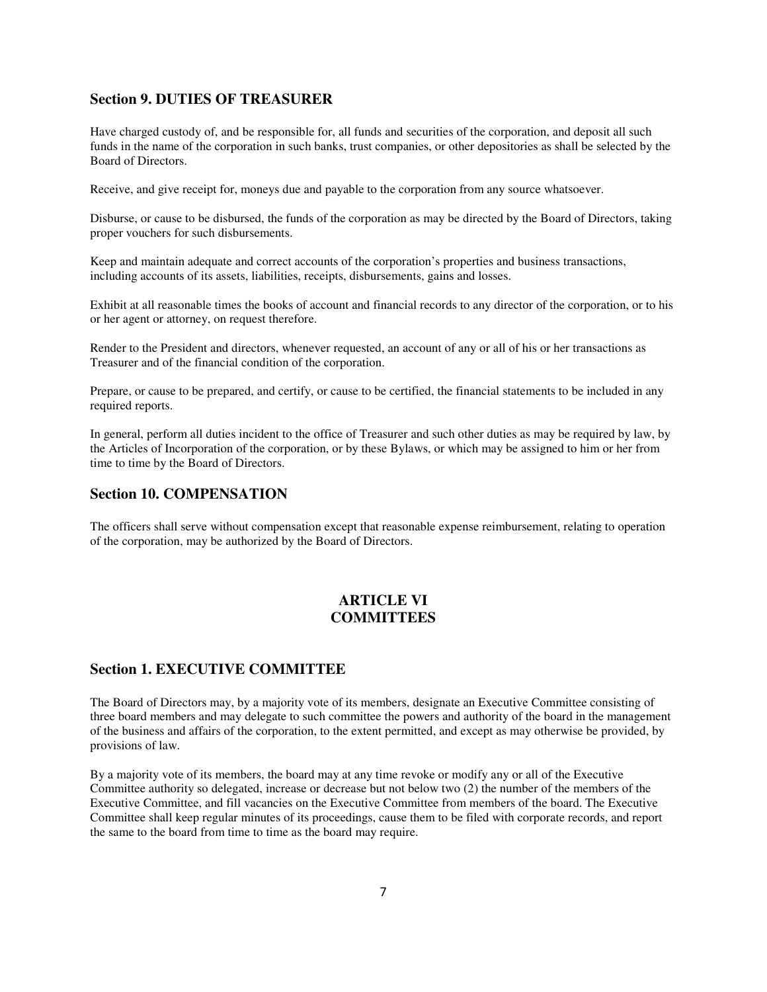### **Section 9. DUTIES OF TREASURER**

Have charged custody of, and be responsible for, all funds and securities of the corporation, and deposit all such funds in the name of the corporation in such banks, trust companies, or other depositories as shall be selected by the Board of Directors.

Receive, and give receipt for, moneys due and payable to the corporation from any source whatsoever.

Disburse, or cause to be disbursed, the funds of the corporation as may be directed by the Board of Directors, taking proper vouchers for such disbursements.

Keep and maintain adequate and correct accounts of the corporation's properties and business transactions, including accounts of its assets, liabilities, receipts, disbursements, gains and losses.

Exhibit at all reasonable times the books of account and financial records to any director of the corporation, or to his or her agent or attorney, on request therefore.

Render to the President and directors, whenever requested, an account of any or all of his or her transactions as Treasurer and of the financial condition of the corporation.

Prepare, or cause to be prepared, and certify, or cause to be certified, the financial statements to be included in any required reports.

In general, perform all duties incident to the office of Treasurer and such other duties as may be required by law, by the Articles of Incorporation of the corporation, or by these Bylaws, or which may be assigned to him or her from time to time by the Board of Directors.

#### **Section 10. COMPENSATION**

The officers shall serve without compensation except that reasonable expense reimbursement, relating to operation of the corporation, may be authorized by the Board of Directors.

# **ARTICLE VI COMMITTEES**

### **Section 1. EXECUTIVE COMMITTEE**

The Board of Directors may, by a majority vote of its members, designate an Executive Committee consisting of three board members and may delegate to such committee the powers and authority of the board in the management of the business and affairs of the corporation, to the extent permitted, and except as may otherwise be provided, by provisions of law.

By a majority vote of its members, the board may at any time revoke or modify any or all of the Executive Committee authority so delegated, increase or decrease but not below two (2) the number of the members of the Executive Committee, and fill vacancies on the Executive Committee from members of the board. The Executive Committee shall keep regular minutes of its proceedings, cause them to be filed with corporate records, and report the same to the board from time to time as the board may require.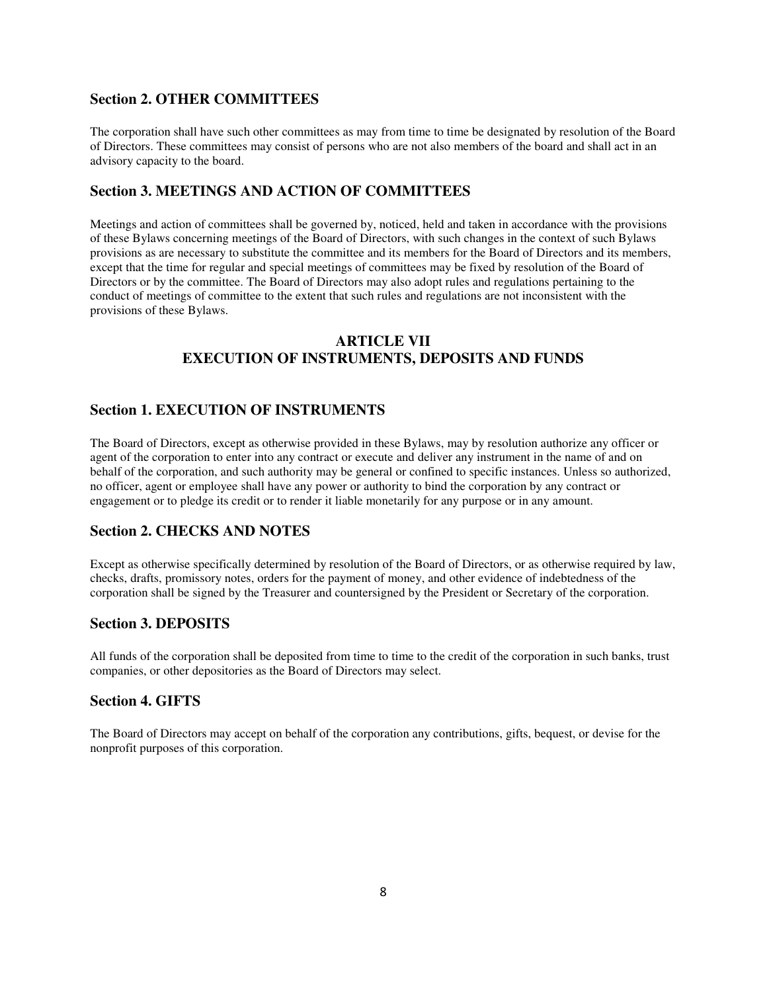### **Section 2. OTHER COMMITTEES**

The corporation shall have such other committees as may from time to time be designated by resolution of the Board of Directors. These committees may consist of persons who are not also members of the board and shall act in an advisory capacity to the board.

#### **Section 3. MEETINGS AND ACTION OF COMMITTEES**

Meetings and action of committees shall be governed by, noticed, held and taken in accordance with the provisions of these Bylaws concerning meetings of the Board of Directors, with such changes in the context of such Bylaws provisions as are necessary to substitute the committee and its members for the Board of Directors and its members, except that the time for regular and special meetings of committees may be fixed by resolution of the Board of Directors or by the committee. The Board of Directors may also adopt rules and regulations pertaining to the conduct of meetings of committee to the extent that such rules and regulations are not inconsistent with the provisions of these Bylaws.

# **ARTICLE VII EXECUTION OF INSTRUMENTS, DEPOSITS AND FUNDS**

### **Section 1. EXECUTION OF INSTRUMENTS**

The Board of Directors, except as otherwise provided in these Bylaws, may by resolution authorize any officer or agent of the corporation to enter into any contract or execute and deliver any instrument in the name of and on behalf of the corporation, and such authority may be general or confined to specific instances. Unless so authorized, no officer, agent or employee shall have any power or authority to bind the corporation by any contract or engagement or to pledge its credit or to render it liable monetarily for any purpose or in any amount.

# **Section 2. CHECKS AND NOTES**

Except as otherwise specifically determined by resolution of the Board of Directors, or as otherwise required by law, checks, drafts, promissory notes, orders for the payment of money, and other evidence of indebtedness of the corporation shall be signed by the Treasurer and countersigned by the President or Secretary of the corporation.

### **Section 3. DEPOSITS**

All funds of the corporation shall be deposited from time to time to the credit of the corporation in such banks, trust companies, or other depositories as the Board of Directors may select.

## **Section 4. GIFTS**

The Board of Directors may accept on behalf of the corporation any contributions, gifts, bequest, or devise for the nonprofit purposes of this corporation.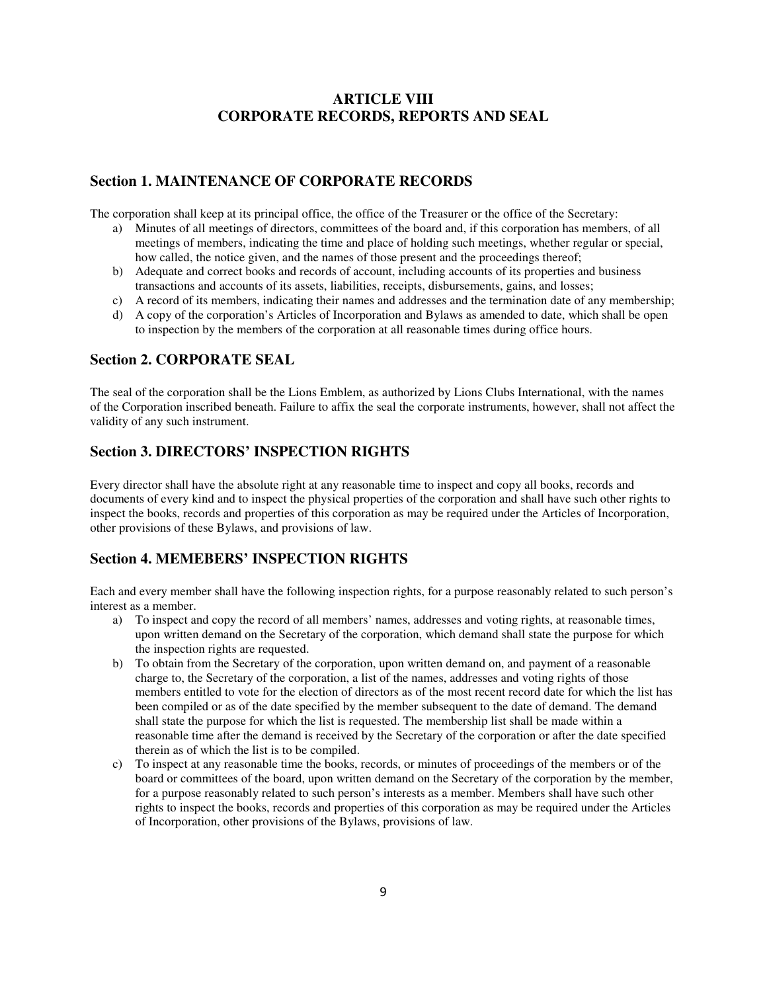# **ARTICLE VIII CORPORATE RECORDS, REPORTS AND SEAL**

### **Section 1. MAINTENANCE OF CORPORATE RECORDS**

The corporation shall keep at its principal office, the office of the Treasurer or the office of the Secretary:

- a) Minutes of all meetings of directors, committees of the board and, if this corporation has members, of all meetings of members, indicating the time and place of holding such meetings, whether regular or special, how called, the notice given, and the names of those present and the proceedings thereof;
- b) Adequate and correct books and records of account, including accounts of its properties and business transactions and accounts of its assets, liabilities, receipts, disbursements, gains, and losses;
- c) A record of its members, indicating their names and addresses and the termination date of any membership;
- d) A copy of the corporation's Articles of Incorporation and Bylaws as amended to date, which shall be open to inspection by the members of the corporation at all reasonable times during office hours.

### **Section 2. CORPORATE SEAL**

The seal of the corporation shall be the Lions Emblem, as authorized by Lions Clubs International, with the names of the Corporation inscribed beneath. Failure to affix the seal the corporate instruments, however, shall not affect the validity of any such instrument.

# **Section 3. DIRECTORS' INSPECTION RIGHTS**

Every director shall have the absolute right at any reasonable time to inspect and copy all books, records and documents of every kind and to inspect the physical properties of the corporation and shall have such other rights to inspect the books, records and properties of this corporation as may be required under the Articles of Incorporation, other provisions of these Bylaws, and provisions of law.

# **Section 4. MEMEBERS' INSPECTION RIGHTS**

Each and every member shall have the following inspection rights, for a purpose reasonably related to such person's interest as a member.

- a) To inspect and copy the record of all members' names, addresses and voting rights, at reasonable times, upon written demand on the Secretary of the corporation, which demand shall state the purpose for which the inspection rights are requested.
- b) To obtain from the Secretary of the corporation, upon written demand on, and payment of a reasonable charge to, the Secretary of the corporation, a list of the names, addresses and voting rights of those members entitled to vote for the election of directors as of the most recent record date for which the list has been compiled or as of the date specified by the member subsequent to the date of demand. The demand shall state the purpose for which the list is requested. The membership list shall be made within a reasonable time after the demand is received by the Secretary of the corporation or after the date specified therein as of which the list is to be compiled.
- c) To inspect at any reasonable time the books, records, or minutes of proceedings of the members or of the board or committees of the board, upon written demand on the Secretary of the corporation by the member, for a purpose reasonably related to such person's interests as a member. Members shall have such other rights to inspect the books, records and properties of this corporation as may be required under the Articles of Incorporation, other provisions of the Bylaws, provisions of law.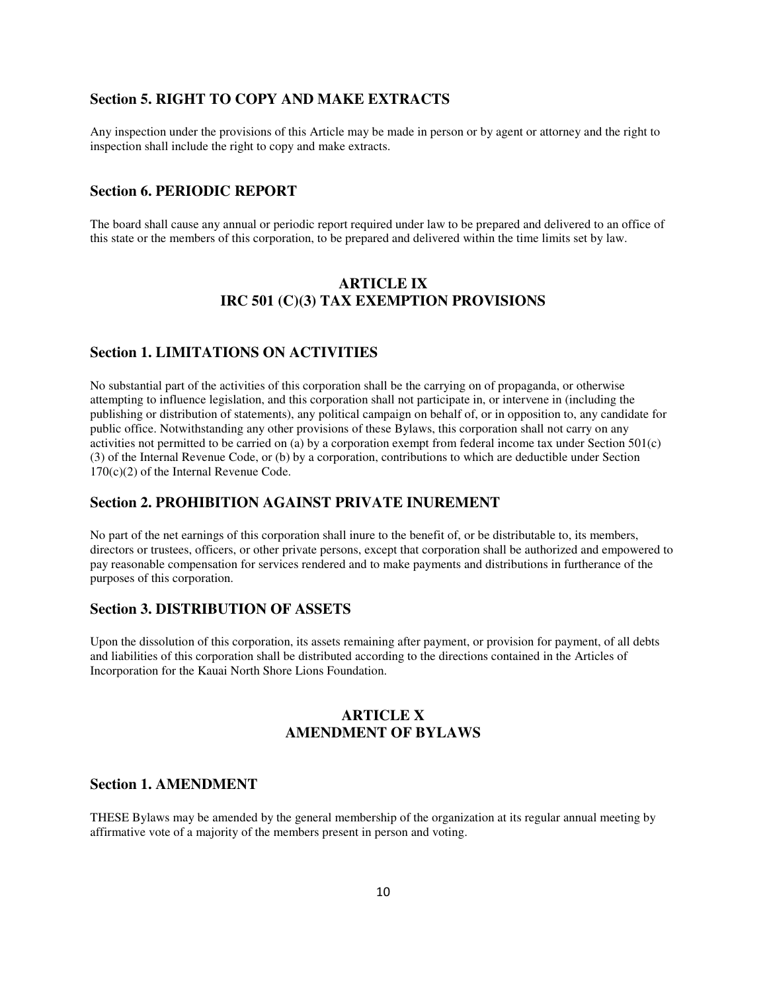### **Section 5. RIGHT TO COPY AND MAKE EXTRACTS**

Any inspection under the provisions of this Article may be made in person or by agent or attorney and the right to inspection shall include the right to copy and make extracts.

#### **Section 6. PERIODIC REPORT**

The board shall cause any annual or periodic report required under law to be prepared and delivered to an office of this state or the members of this corporation, to be prepared and delivered within the time limits set by law.

## **ARTICLE IX IRC 501 (C)(3) TAX EXEMPTION PROVISIONS**

## **Section 1. LIMITATIONS ON ACTIVITIES**

No substantial part of the activities of this corporation shall be the carrying on of propaganda, or otherwise attempting to influence legislation, and this corporation shall not participate in, or intervene in (including the publishing or distribution of statements), any political campaign on behalf of, or in opposition to, any candidate for public office. Notwithstanding any other provisions of these Bylaws, this corporation shall not carry on any activities not permitted to be carried on (a) by a corporation exempt from federal income tax under Section 501(c) (3) of the Internal Revenue Code, or (b) by a corporation, contributions to which are deductible under Section 170(c)(2) of the Internal Revenue Code.

### **Section 2. PROHIBITION AGAINST PRIVATE INUREMENT**

No part of the net earnings of this corporation shall inure to the benefit of, or be distributable to, its members, directors or trustees, officers, or other private persons, except that corporation shall be authorized and empowered to pay reasonable compensation for services rendered and to make payments and distributions in furtherance of the purposes of this corporation.

### **Section 3. DISTRIBUTION OF ASSETS**

Upon the dissolution of this corporation, its assets remaining after payment, or provision for payment, of all debts and liabilities of this corporation shall be distributed according to the directions contained in the Articles of Incorporation for the Kauai North Shore Lions Foundation.

## **ARTICLE X AMENDMENT OF BYLAWS**

#### **Section 1. AMENDMENT**

THESE Bylaws may be amended by the general membership of the organization at its regular annual meeting by affirmative vote of a majority of the members present in person and voting.